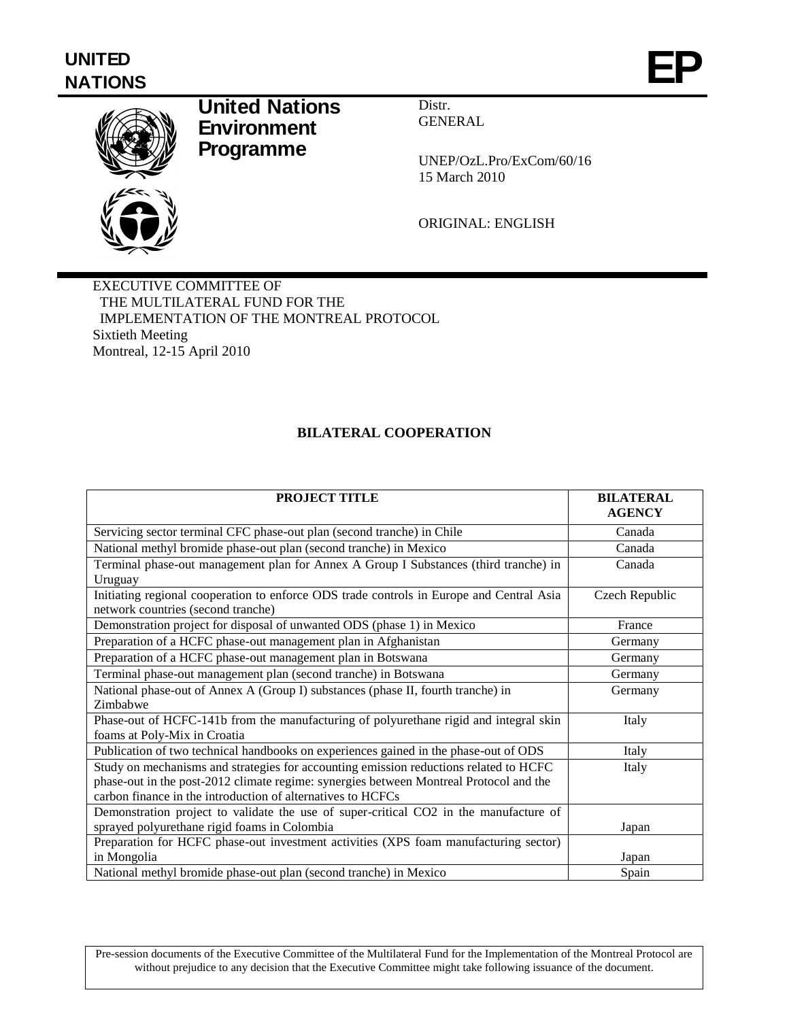# **UNITED** UNITED<br>NATIONS



## **United Nations Environment Programme**

Distr. GENERAL

UNEP/OzL.Pro/ExCom/60/16 15 March 2010

ORIGINAL: ENGLISH

EXECUTIVE COMMITTEE OF THE MULTILATERAL FUND FOR THE IMPLEMENTATION OF THE MONTREAL PROTOCOL Sixtieth Meeting Montreal, 12-15 April 2010

## **BILATERAL COOPERATION**

| <b>PROJECT TITLE</b>                                                                                                                                                                                                                           | <b>BILATERAL</b><br><b>AGENCY</b> |
|------------------------------------------------------------------------------------------------------------------------------------------------------------------------------------------------------------------------------------------------|-----------------------------------|
| Servicing sector terminal CFC phase-out plan (second tranche) in Chile                                                                                                                                                                         | Canada                            |
| National methyl bromide phase-out plan (second tranche) in Mexico                                                                                                                                                                              | Canada                            |
| Terminal phase-out management plan for Annex A Group I Substances (third tranche) in                                                                                                                                                           | Canada                            |
| Uruguay                                                                                                                                                                                                                                        |                                   |
| Initiating regional cooperation to enforce ODS trade controls in Europe and Central Asia<br>network countries (second tranche)                                                                                                                 | Czech Republic                    |
| Demonstration project for disposal of unwanted ODS (phase 1) in Mexico                                                                                                                                                                         | France                            |
| Preparation of a HCFC phase-out management plan in Afghanistan                                                                                                                                                                                 | Germany                           |
| Preparation of a HCFC phase-out management plan in Botswana                                                                                                                                                                                    | Germany                           |
| Terminal phase-out management plan (second tranche) in Botswana                                                                                                                                                                                | Germany                           |
| National phase-out of Annex A (Group I) substances (phase II, fourth tranche) in                                                                                                                                                               | Germany                           |
| Zimbabwe                                                                                                                                                                                                                                       |                                   |
| Phase-out of HCFC-141b from the manufacturing of polyurethane rigid and integral skin                                                                                                                                                          | Italy                             |
| foams at Poly-Mix in Croatia                                                                                                                                                                                                                   |                                   |
| Publication of two technical handbooks on experiences gained in the phase-out of ODS                                                                                                                                                           | Italy                             |
| Study on mechanisms and strategies for accounting emission reductions related to HCFC<br>phase-out in the post-2012 climate regime: synergies between Montreal Protocol and the<br>carbon finance in the introduction of alternatives to HCFCs | Italy                             |
| Demonstration project to validate the use of super-critical CO2 in the manufacture of                                                                                                                                                          |                                   |
| sprayed polyurethane rigid foams in Colombia                                                                                                                                                                                                   | Japan                             |
| Preparation for HCFC phase-out investment activities (XPS foam manufacturing sector)                                                                                                                                                           |                                   |
| in Mongolia                                                                                                                                                                                                                                    | Japan                             |
| National methyl bromide phase-out plan (second tranche) in Mexico                                                                                                                                                                              | Spain                             |

Pre-session documents of the Executive Committee of the Multilateral Fund for the Implementation of the Montreal Protocol are without prejudice to any decision that the Executive Committee might take following issuance of the document.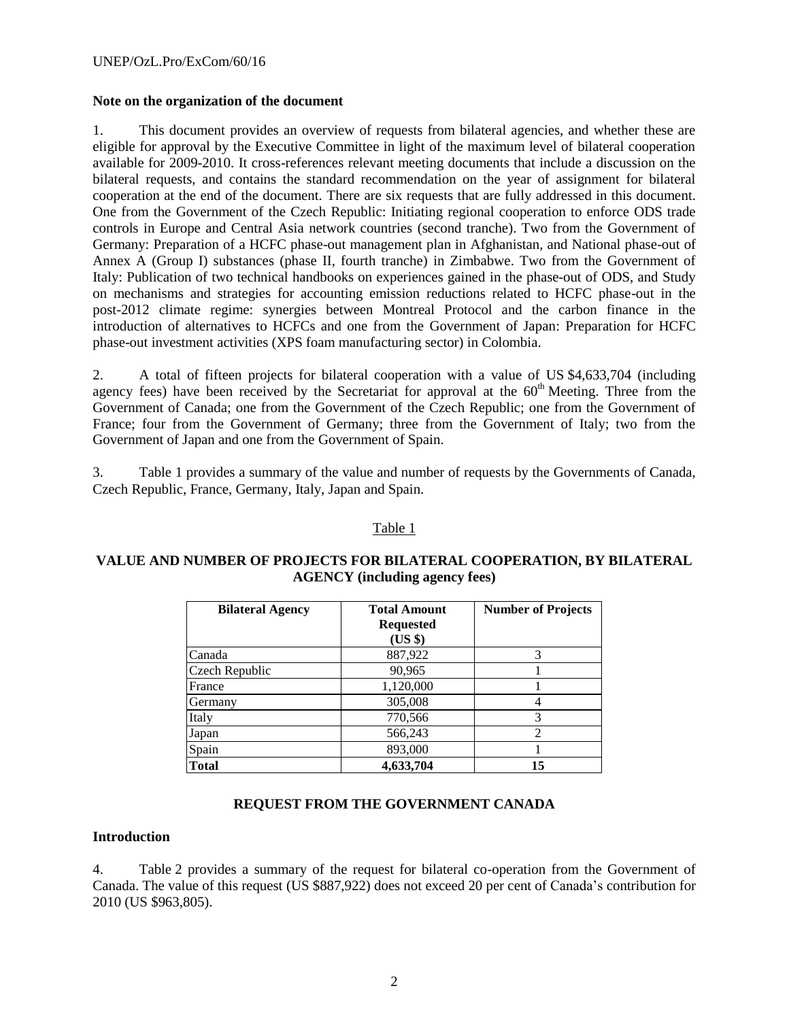#### **Note on the organization of the document**

1. This document provides an overview of requests from bilateral agencies, and whether these are eligible for approval by the Executive Committee in light of the maximum level of bilateral cooperation available for 2009-2010. It cross-references relevant meeting documents that include a discussion on the bilateral requests, and contains the standard recommendation on the year of assignment for bilateral cooperation at the end of the document. There are six requests that are fully addressed in this document. One from the Government of the Czech Republic: Initiating regional cooperation to enforce ODS trade controls in Europe and Central Asia network countries (second tranche). Two from the Government of Germany: Preparation of a HCFC phase-out management plan in Afghanistan, and National phase-out of Annex A (Group I) substances (phase II, fourth tranche) in Zimbabwe. Two from the Government of Italy: Publication of two technical handbooks on experiences gained in the phase-out of ODS, and Study on mechanisms and strategies for accounting emission reductions related to HCFC phase-out in the post-2012 climate regime: synergies between Montreal Protocol and the carbon finance in the introduction of alternatives to HCFCs and one from the Government of Japan: Preparation for HCFC phase-out investment activities (XPS foam manufacturing sector) in Colombia.

2. A total of fifteen projects for bilateral cooperation with a value of US \$4,633,704 (including agency fees) have been received by the Secretariat for approval at the  $60<sup>th</sup>$  Meeting. Three from the Government of Canada; one from the Government of the Czech Republic; one from the Government of France; four from the Government of Germany; three from the Government of Italy; two from the Government of Japan and one from the Government of Spain.

3. Table 1 provides a summary of the value and number of requests by the Governments of Canada, Czech Republic, France, Germany, Italy, Japan and Spain.

## Table 1

#### **VALUE AND NUMBER OF PROJECTS FOR BILATERAL COOPERATION, BY BILATERAL AGENCY (including agency fees)**

| <b>Bilateral Agency</b> | <b>Total Amount</b><br><b>Requested</b><br>(US \$) | <b>Number of Projects</b> |
|-------------------------|----------------------------------------------------|---------------------------|
| Canada                  | 887,922                                            | 3                         |
| Czech Republic          | 90,965                                             |                           |
| France                  | 1,120,000                                          |                           |
| Germany                 | 305,008                                            |                           |
| Italy                   | 770,566                                            | 3                         |
| Japan                   | 566,243                                            | 2                         |
| Spain                   | 893,000                                            |                           |
| <b>Total</b>            | 4,633,704                                          | 15                        |

## **REQUEST FROM THE GOVERNMENT CANADA**

## **Introduction**

4. Table 2 provides a summary of the request for bilateral co-operation from the Government of Canada. The value of this request (US \$887,922) does not exceed 20 per cent of Canada's contribution for 2010 (US \$963,805).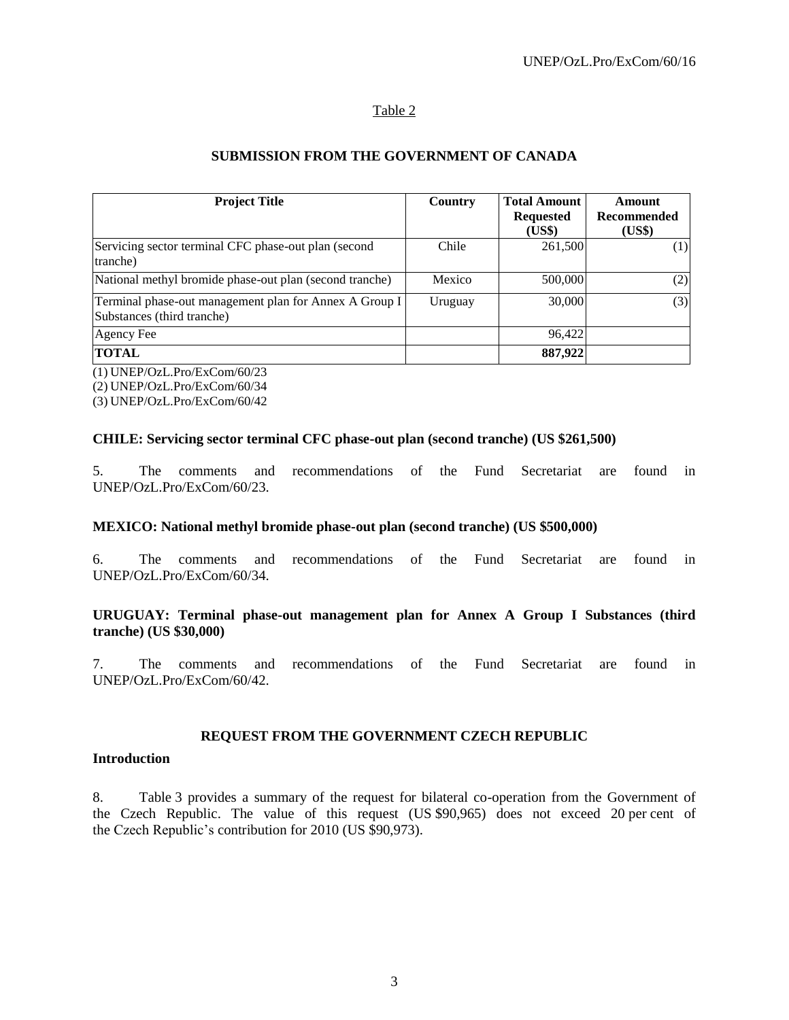## Table 2

## **SUBMISSION FROM THE GOVERNMENT OF CANADA**

| <b>Project Title</b>                                                                 | Country | <b>Total Amount</b><br><b>Requested</b><br>(US\$) | Amount<br>Recommended<br>(US\$) |
|--------------------------------------------------------------------------------------|---------|---------------------------------------------------|---------------------------------|
| Servicing sector terminal CFC phase-out plan (second<br>tranche)                     | Chile   | 261,500                                           | (1)                             |
| National methyl bromide phase-out plan (second tranche)                              | Mexico  | 500,000                                           | (2)                             |
| Terminal phase-out management plan for Annex A Group I<br>Substances (third tranche) | Uruguay | 30,000                                            | (3)                             |
| Agency Fee                                                                           |         | 96.422                                            |                                 |
| <b>TOTAL</b>                                                                         |         | 887,922                                           |                                 |

(1) UNEP/OzL.Pro/ExCom/60/23 (2) UNEP/OzL.Pro/ExCom/60/34

(3) UNEP/OzL.Pro/ExCom/60/42

## **CHILE: Servicing sector terminal CFC phase-out plan (second tranche) (US \$261,500)**

5. The comments and recommendations of the Fund Secretariat are found in UNEP/OzL.Pro/ExCom/60/23.

#### **MEXICO: National methyl bromide phase-out plan (second tranche) (US \$500,000)**

6. The comments and recommendations of the Fund Secretariat are found in UNEP/OzL.Pro/ExCom/60/34.

#### **URUGUAY: Terminal phase-out management plan for Annex A Group I Substances (third tranche) (US \$30,000)**

7. The comments and recommendations of the Fund Secretariat are found in UNEP/OzL.Pro/ExCom/60/42.

#### **REQUEST FROM THE GOVERNMENT CZECH REPUBLIC**

#### **Introduction**

8. Table 3 provides a summary of the request for bilateral co-operation from the Government of the Czech Republic. The value of this request (US \$90,965) does not exceed 20 per cent of the Czech Republic's contribution for 2010 (US \$90,973).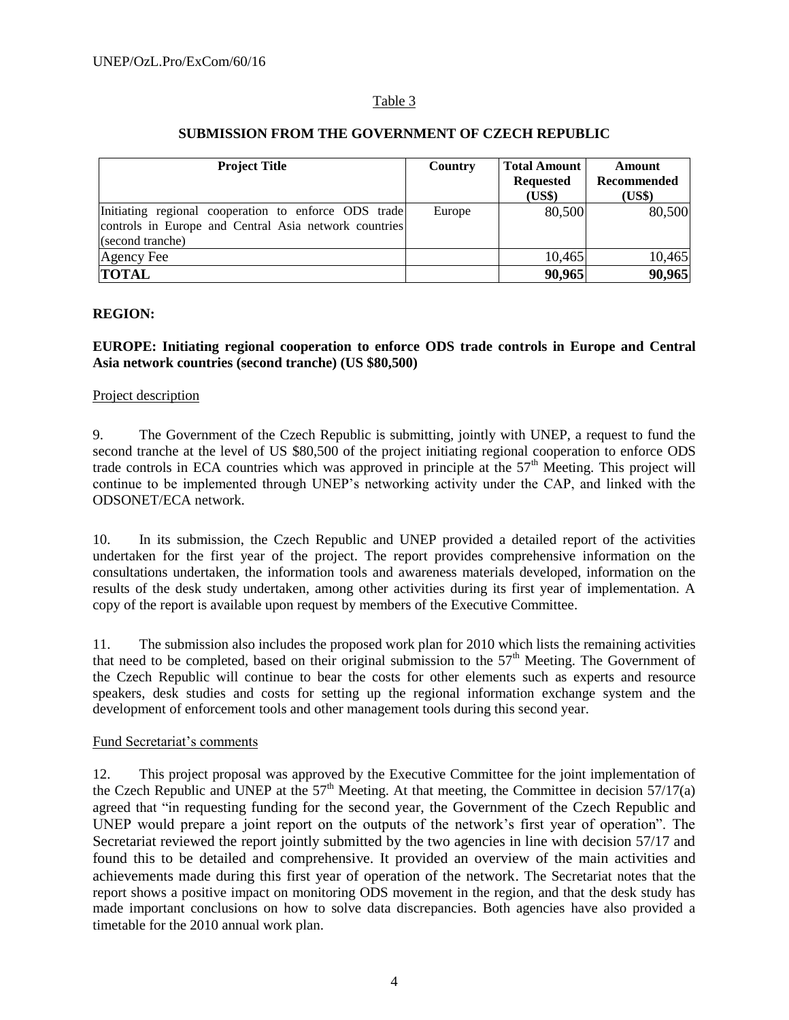#### Table 3

| <b>Project Title</b>                                                                                                              | Country | <b>Total Amount</b><br><b>Requested</b><br>(US\$) | Amount<br>Recommended<br>(US\$) |
|-----------------------------------------------------------------------------------------------------------------------------------|---------|---------------------------------------------------|---------------------------------|
| Initiating regional cooperation to enforce ODS trade<br>controls in Europe and Central Asia network countries<br>(second tranche) | Europe  | 80,500                                            | 80,500                          |
| Agency Fee                                                                                                                        |         | 10,465                                            | 10,465                          |
| <b>TOTAL</b>                                                                                                                      |         | 90,965                                            | 90,965                          |

#### **SUBMISSION FROM THE GOVERNMENT OF CZECH REPUBLIC**

#### **REGION:**

## **EUROPE: Initiating regional cooperation to enforce ODS trade controls in Europe and Central Asia network countries (second tranche) (US \$80,500)**

#### Project description

9. The Government of the Czech Republic is submitting, jointly with UNEP, a request to fund the second tranche at the level of US \$80,500 of the project initiating regional cooperation to enforce ODS trade controls in ECA countries which was approved in principle at the  $57<sup>th</sup>$  Meeting. This project will continue to be implemented through UNEP's networking activity under the CAP, and linked with the ODSONET/ECA network.

10. In its submission, the Czech Republic and UNEP provided a detailed report of the activities undertaken for the first year of the project. The report provides comprehensive information on the consultations undertaken, the information tools and awareness materials developed, information on the results of the desk study undertaken, among other activities during its first year of implementation. A copy of the report is available upon request by members of the Executive Committee.

11. The submission also includes the proposed work plan for 2010 which lists the remaining activities that need to be completed, based on their original submission to the 57<sup>th</sup> Meeting. The Government of the Czech Republic will continue to bear the costs for other elements such as experts and resource speakers, desk studies and costs for setting up the regional information exchange system and the development of enforcement tools and other management tools during this second year.

#### Fund Secretariat's comments

12. This project proposal was approved by the Executive Committee for the joint implementation of the Czech Republic and UNEP at the  $57<sup>th</sup>$  Meeting. At that meeting, the Committee in decision  $57/17(a)$ agreed that "in requesting funding for the second year, the Government of the Czech Republic and UNEP would prepare a joint report on the outputs of the network's first year of operation". The Secretariat reviewed the report jointly submitted by the two agencies in line with decision 57/17 and found this to be detailed and comprehensive. It provided an overview of the main activities and achievements made during this first year of operation of the network. The Secretariat notes that the report shows a positive impact on monitoring ODS movement in the region, and that the desk study has made important conclusions on how to solve data discrepancies. Both agencies have also provided a timetable for the 2010 annual work plan.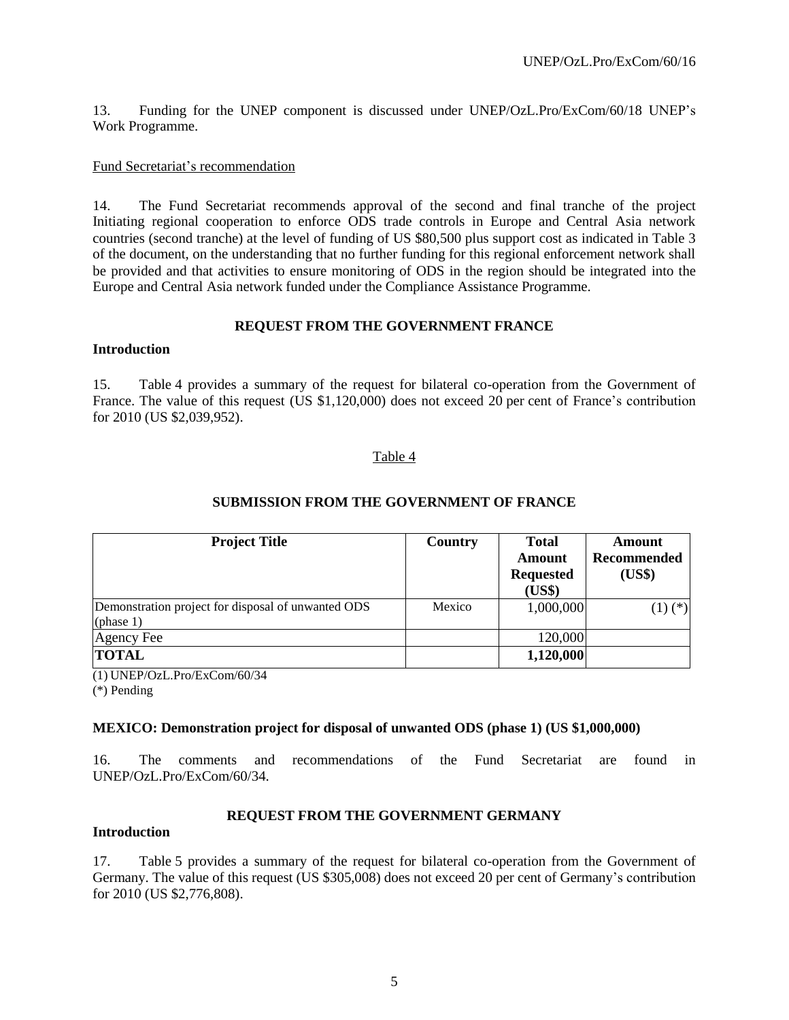13. Funding for the UNEP component is discussed under UNEP/OzL.Pro/ExCom/60/18 UNEP's Work Programme.

#### Fund Secretariat's recommendation

14. The Fund Secretariat recommends approval of the second and final tranche of the project Initiating regional cooperation to enforce ODS trade controls in Europe and Central Asia network countries (second tranche) at the level of funding of US \$80,500 plus support cost as indicated in Table 3 of the document, on the understanding that no further funding for this regional enforcement network shall be provided and that activities to ensure monitoring of ODS in the region should be integrated into the Europe and Central Asia network funded under the Compliance Assistance Programme.

## **REQUEST FROM THE GOVERNMENT FRANCE**

#### **Introduction**

15. Table 4 provides a summary of the request for bilateral co-operation from the Government of France. The value of this request (US \$1,120,000) does not exceed 20 per cent of France's contribution for 2010 (US \$2,039,952).

## Table 4

| <b>Project Title</b>                                               | Country | <b>Total</b><br>Amount<br><b>Requested</b><br>(US\$) | <b>Amount</b><br><b>Recommended</b><br>(US\$) |
|--------------------------------------------------------------------|---------|------------------------------------------------------|-----------------------------------------------|
| Demonstration project for disposal of unwanted ODS<br>(phase $1$ ) | Mexico  | 1,000,000                                            | $(1)$ $(*)$                                   |
| Agency Fee                                                         |         | 120,000                                              |                                               |
| <b>TOTAL</b>                                                       |         | 1,120,000                                            |                                               |

## **SUBMISSION FROM THE GOVERNMENT OF FRANCE**

(1) UNEP/OzL.Pro/ExCom/60/34 (\*) Pending

## **MEXICO: Demonstration project for disposal of unwanted ODS (phase 1) (US \$1,000,000)**

16. The comments and recommendations of the Fund Secretariat are found in UNEP/OzL.Pro/ExCom/60/34.

## **REQUEST FROM THE GOVERNMENT GERMANY**

#### **Introduction**

17. Table 5 provides a summary of the request for bilateral co-operation from the Government of Germany. The value of this request (US \$305,008) does not exceed 20 per cent of Germany's contribution for 2010 (US \$2,776,808).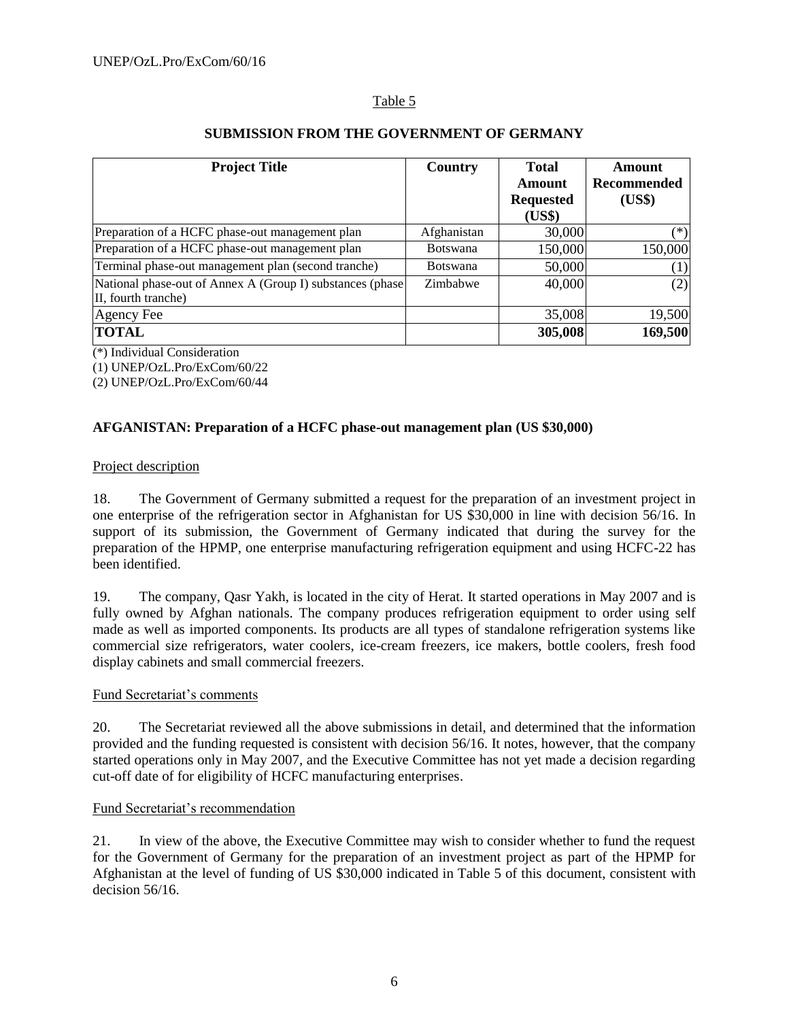## Table 5

| <b>Project Title</b>                                                             | Country         | <b>Total</b><br>Amount<br><b>Requested</b><br>(US\$) | Amount<br><b>Recommended</b><br>(US\$) |
|----------------------------------------------------------------------------------|-----------------|------------------------------------------------------|----------------------------------------|
| Preparation of a HCFC phase-out management plan                                  | Afghanistan     | 30,000                                               | $(*)$                                  |
| Preparation of a HCFC phase-out management plan                                  | <b>Botswana</b> | 150,000                                              | 150,000                                |
| Terminal phase-out management plan (second tranche)                              | <b>Botswana</b> | 50,000                                               | (1)                                    |
| National phase-out of Annex A (Group I) substances (phase<br>II, fourth tranche) | Zimbabwe        | 40,000                                               | (2)                                    |
| Agency Fee                                                                       |                 | 35,008                                               | 19,500                                 |
| <b>TOTAL</b>                                                                     |                 | 305,008                                              | 169,500                                |

## **SUBMISSION FROM THE GOVERNMENT OF GERMANY**

(\*) Individual Consideration

(1) UNEP/OzL.Pro/ExCom/60/22

(2) UNEP/OzL.Pro/ExCom/60/44

## **AFGANISTAN: Preparation of a HCFC phase-out management plan (US \$30,000)**

## Project description

18. The Government of Germany submitted a request for the preparation of an investment project in one enterprise of the refrigeration sector in Afghanistan for US \$30,000 in line with decision 56/16. In support of its submission, the Government of Germany indicated that during the survey for the preparation of the HPMP, one enterprise manufacturing refrigeration equipment and using HCFC-22 has been identified.

19. The company, Qasr Yakh, is located in the city of Herat. It started operations in May 2007 and is fully owned by Afghan nationals. The company produces refrigeration equipment to order using self made as well as imported components. Its products are all types of standalone refrigeration systems like commercial size refrigerators, water coolers, ice-cream freezers, ice makers, bottle coolers, fresh food display cabinets and small commercial freezers.

## Fund Secretariat's comments

20. The Secretariat reviewed all the above submissions in detail, and determined that the information provided and the funding requested is consistent with decision 56/16. It notes, however, that the company started operations only in May 2007, and the Executive Committee has not yet made a decision regarding cut-off date of for eligibility of HCFC manufacturing enterprises.

## Fund Secretariat's recommendation

21. In view of the above, the Executive Committee may wish to consider whether to fund the request for the Government of Germany for the preparation of an investment project as part of the HPMP for Afghanistan at the level of funding of US \$30,000 indicated in Table 5 of this document, consistent with decision 56/16.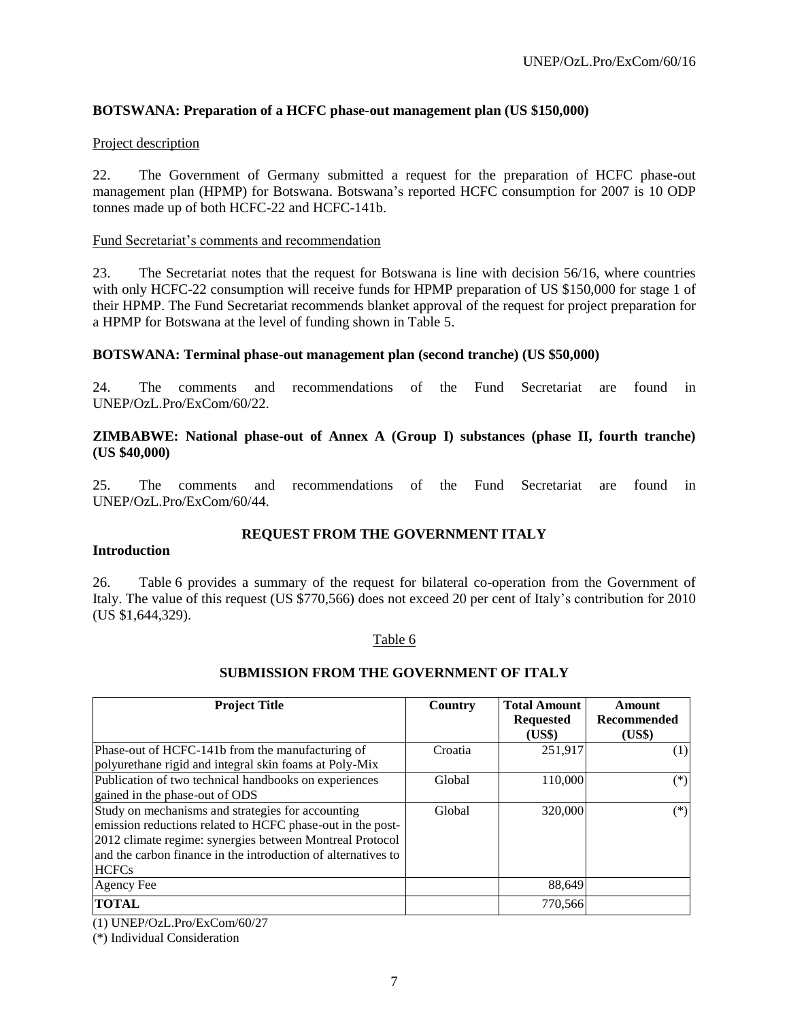## **BOTSWANA: Preparation of a HCFC phase-out management plan (US \$150,000)**

#### Project description

22. The Government of Germany submitted a request for the preparation of HCFC phase-out management plan (HPMP) for Botswana. Botswana's reported HCFC consumption for 2007 is 10 ODP tonnes made up of both HCFC-22 and HCFC-141b.

#### Fund Secretariat's comments and recommendation

23. The Secretariat notes that the request for Botswana is line with decision 56/16, where countries with only HCFC-22 consumption will receive funds for HPMP preparation of US \$150,000 for stage 1 of their HPMP. The Fund Secretariat recommends blanket approval of the request for project preparation for a HPMP for Botswana at the level of funding shown in Table 5.

#### **BOTSWANA: Terminal phase-out management plan (second tranche) (US \$50,000)**

24. The comments and recommendations of the Fund Secretariat are found in UNEP/OzL.Pro/ExCom/60/22.

#### **ZIMBABWE: National phase-out of Annex A (Group I) substances (phase II, fourth tranche) (US \$40,000)**

25. The comments and recommendations of the Fund Secretariat are found in UNEP/OzL.Pro/ExCom/60/44.

## **REQUEST FROM THE GOVERNMENT ITALY**

#### **Introduction**

26. Table 6 provides a summary of the request for bilateral co-operation from the Government of Italy. The value of this request (US \$770,566) does not exceed 20 per cent of Italy's contribution for 2010 (US \$1,644,329).

#### Table 6

#### **SUBMISSION FROM THE GOVERNMENT OF ITALY**

| <b>Project Title</b>                                                                                                                                                                                                                                         | Country | <b>Total Amount</b><br><b>Requested</b><br>(US\$) | Amount<br>Recommended<br>(US\$) |
|--------------------------------------------------------------------------------------------------------------------------------------------------------------------------------------------------------------------------------------------------------------|---------|---------------------------------------------------|---------------------------------|
| Phase-out of HCFC-141b from the manufacturing of<br>polyurethane rigid and integral skin foams at Poly-Mix                                                                                                                                                   | Croatia | 251.917                                           | (1)                             |
| Publication of two technical handbooks on experiences<br>gained in the phase-out of ODS                                                                                                                                                                      | Global  | 110,000                                           | $(*)$                           |
| Study on mechanisms and strategies for accounting<br>emission reductions related to HCFC phase-out in the post-<br>2012 climate regime: synergies between Montreal Protocol<br>and the carbon finance in the introduction of alternatives to<br><b>HCFCs</b> | Global  | 320,000                                           | $(*)$                           |
| Agency Fee                                                                                                                                                                                                                                                   |         | 88,649                                            |                                 |
| <b>TOTAL</b>                                                                                                                                                                                                                                                 |         | 770,566                                           |                                 |

(1) UNEP/OzL.Pro/ExCom/60/27

(\*) Individual Consideration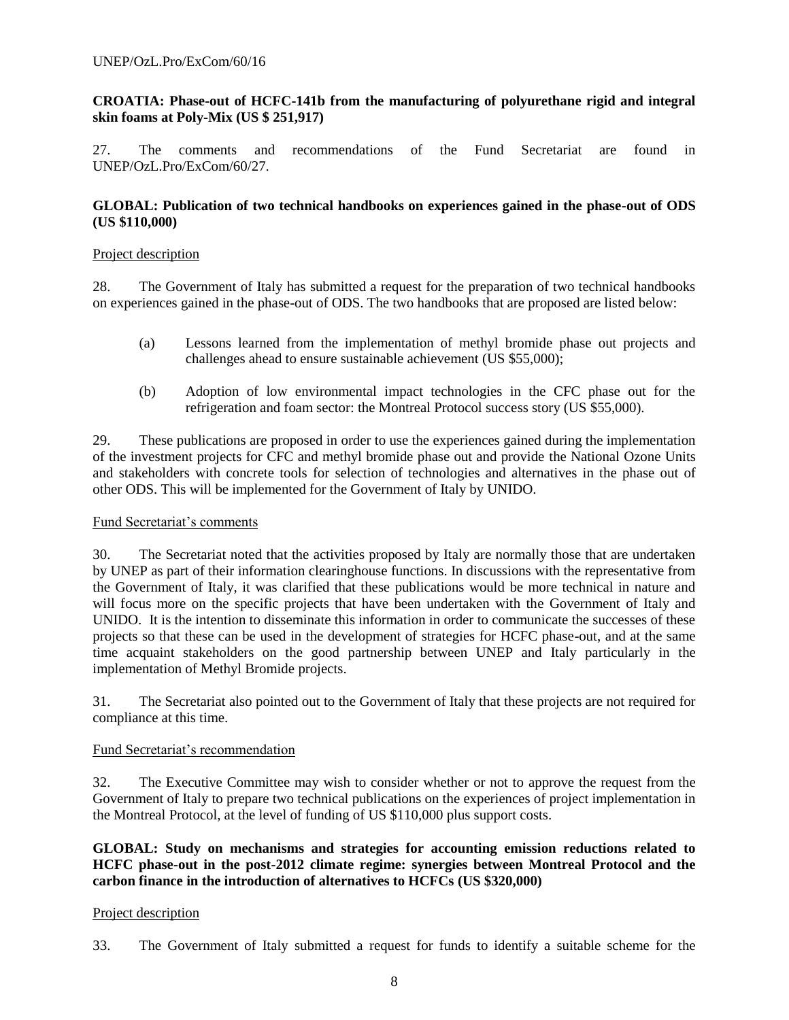## **CROATIA: Phase-out of HCFC-141b from the manufacturing of polyurethane rigid and integral skin foams at Poly-Mix (US \$ 251,917)**

27. The comments and recommendations of the Fund Secretariat are found in UNEP/OzL.Pro/ExCom/60/27.

## **GLOBAL: Publication of two technical handbooks on experiences gained in the phase-out of ODS (US \$110,000)**

## Project description

28. The Government of Italy has submitted a request for the preparation of two technical handbooks on experiences gained in the phase-out of ODS. The two handbooks that are proposed are listed below:

- (a) Lessons learned from the implementation of methyl bromide phase out projects and challenges ahead to ensure sustainable achievement (US \$55,000);
- (b) Adoption of low environmental impact technologies in the CFC phase out for the refrigeration and foam sector: the Montreal Protocol success story (US \$55,000).

29. These publications are proposed in order to use the experiences gained during the implementation of the investment projects for CFC and methyl bromide phase out and provide the National Ozone Units and stakeholders with concrete tools for selection of technologies and alternatives in the phase out of other ODS. This will be implemented for the Government of Italy by UNIDO.

## Fund Secretariat's comments

30. The Secretariat noted that the activities proposed by Italy are normally those that are undertaken by UNEP as part of their information clearinghouse functions. In discussions with the representative from the Government of Italy, it was clarified that these publications would be more technical in nature and will focus more on the specific projects that have been undertaken with the Government of Italy and UNIDO. It is the intention to disseminate this information in order to communicate the successes of these projects so that these can be used in the development of strategies for HCFC phase-out, and at the same time acquaint stakeholders on the good partnership between UNEP and Italy particularly in the implementation of Methyl Bromide projects.

31. The Secretariat also pointed out to the Government of Italy that these projects are not required for compliance at this time.

## Fund Secretariat's recommendation

32. The Executive Committee may wish to consider whether or not to approve the request from the Government of Italy to prepare two technical publications on the experiences of project implementation in the Montreal Protocol, at the level of funding of US \$110,000 plus support costs.

## **GLOBAL: Study on mechanisms and strategies for accounting emission reductions related to HCFC phase-out in the post-2012 climate regime: synergies between Montreal Protocol and the carbon finance in the introduction of alternatives to HCFCs (US \$320,000)**

## Project description

33. The Government of Italy submitted a request for funds to identify a suitable scheme for the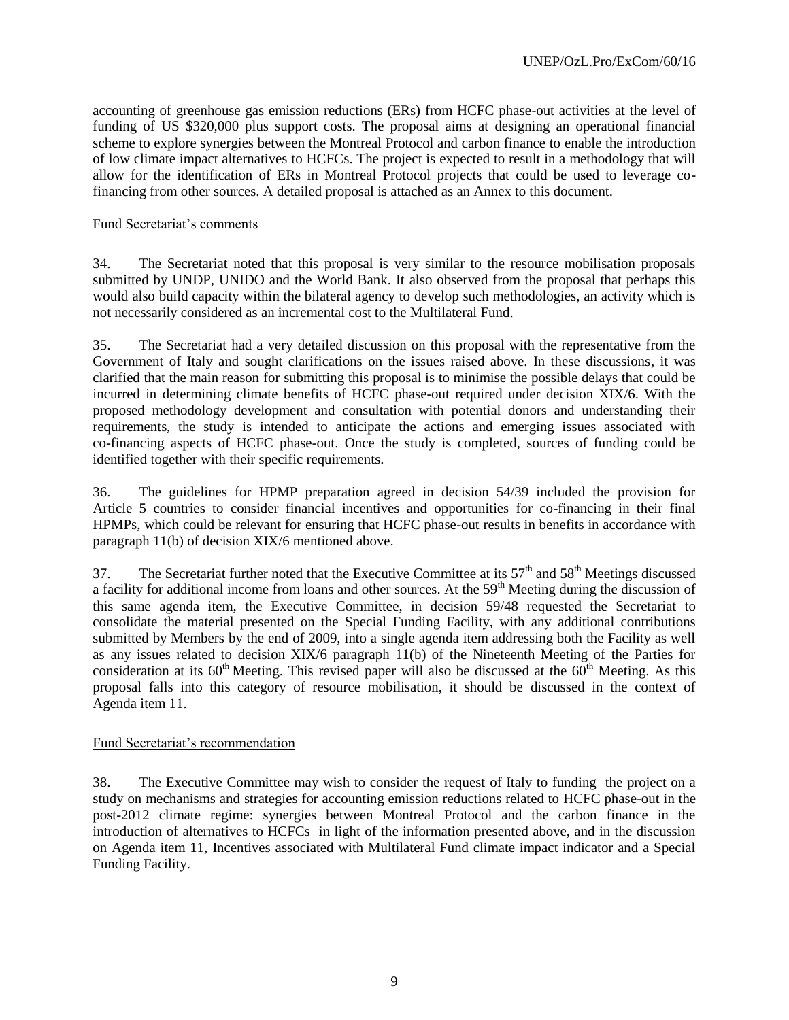accounting of greenhouse gas emission reductions (ERs) from HCFC phase-out activities at the level of funding of US \$320,000 plus support costs. The proposal aims at designing an operational financial scheme to explore synergies between the Montreal Protocol and carbon finance to enable the introduction of low climate impact alternatives to HCFCs. The project is expected to result in a methodology that will allow for the identification of ERs in Montreal Protocol projects that could be used to leverage cofinancing from other sources. A detailed proposal is attached as an Annex to this document.

## Fund Secretariat's comments

34. The Secretariat noted that this proposal is very similar to the resource mobilisation proposals submitted by UNDP, UNIDO and the World Bank. It also observed from the proposal that perhaps this would also build capacity within the bilateral agency to develop such methodologies, an activity which is not necessarily considered as an incremental cost to the Multilateral Fund.

35. The Secretariat had a very detailed discussion on this proposal with the representative from the Government of Italy and sought clarifications on the issues raised above. In these discussions, it was clarified that the main reason for submitting this proposal is to minimise the possible delays that could be incurred in determining climate benefits of HCFC phase-out required under decision XIX/6. With the proposed methodology development and consultation with potential donors and understanding their requirements, the study is intended to anticipate the actions and emerging issues associated with co-financing aspects of HCFC phase-out. Once the study is completed, sources of funding could be identified together with their specific requirements.

36. The guidelines for HPMP preparation agreed in decision 54/39 included the provision for Article 5 countries to consider financial incentives and opportunities for co-financing in their final HPMPs, which could be relevant for ensuring that HCFC phase-out results in benefits in accordance with paragraph 11(b) of decision XIX/6 mentioned above.

37. The Secretariat further noted that the Executive Committee at its  $57<sup>th</sup>$  and  $58<sup>th</sup>$  Meetings discussed a facility for additional income from loans and other sources. At the 59<sup>th</sup> Meeting during the discussion of this same agenda item, the Executive Committee, in decision 59/48 requested the Secretariat to consolidate the material presented on the Special Funding Facility, with any additional contributions submitted by Members by the end of 2009, into a single agenda item addressing both the Facility as well as any issues related to decision XIX/6 paragraph 11(b) of the Nineteenth Meeting of the Parties for consideration at its  $60<sup>th</sup>$  Meeting. This revised paper will also be discussed at the  $60<sup>th</sup>$  Meeting. As this proposal falls into this category of resource mobilisation, it should be discussed in the context of Agenda item 11.

## Fund Secretariat's recommendation

38. The Executive Committee may wish to consider the request of Italy to funding the project on a study on mechanisms and strategies for accounting emission reductions related to HCFC phase-out in the post-2012 climate regime: synergies between Montreal Protocol and the carbon finance in the introduction of alternatives to HCFCs in light of the information presented above, and in the discussion on Agenda item 11, Incentives associated with Multilateral Fund climate impact indicator and a Special Funding Facility.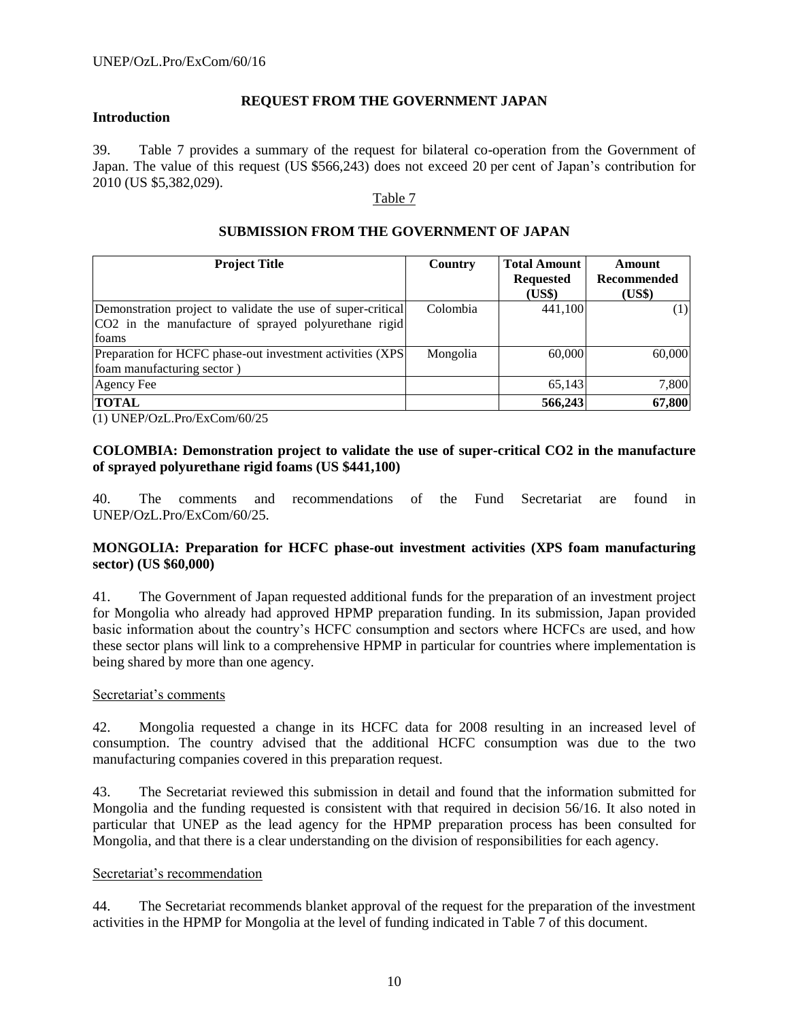## **Introduction**

#### **REQUEST FROM THE GOVERNMENT JAPAN**

39. Table 7 provides a summary of the request for bilateral co-operation from the Government of Japan. The value of this request (US \$566,243) does not exceed 20 per cent of Japan's contribution for 2010 (US \$5,382,029).

#### Table 7

## **SUBMISSION FROM THE GOVERNMENT OF JAPAN**

| <b>Project Title</b>                                        | Country  | <b>Total Amount</b> | Amount      |
|-------------------------------------------------------------|----------|---------------------|-------------|
|                                                             |          | <b>Requested</b>    | Recommended |
|                                                             |          | (US\$)              | (US\$)      |
| Demonstration project to validate the use of super-critical | Colombia | 441.100             | (1)         |
| CO2 in the manufacture of sprayed polyurethane rigid        |          |                     |             |
| foams                                                       |          |                     |             |
| Preparation for HCFC phase-out investment activities (XPS)  | Mongolia | 60,000              | 60,000      |
| foam manufacturing sector)                                  |          |                     |             |
| Agency Fee                                                  |          | 65.143              | 7,800       |
| <b>TOTAL</b>                                                |          | 566,243             | 67,800      |

(1) UNEP/OzL.Pro/ExCom/60/25

## **COLOMBIA: Demonstration project to validate the use of super-critical CO2 in the manufacture of sprayed polyurethane rigid foams (US \$441,100)**

40. The comments and recommendations of the Fund Secretariat are found in UNEP/OzL.Pro/ExCom/60/25.

## **MONGOLIA: Preparation for HCFC phase-out investment activities (XPS foam manufacturing sector) (US \$60,000)**

41. The Government of Japan requested additional funds for the preparation of an investment project for Mongolia who already had approved HPMP preparation funding. In its submission, Japan provided basic information about the country's HCFC consumption and sectors where HCFCs are used, and how these sector plans will link to a comprehensive HPMP in particular for countries where implementation is being shared by more than one agency.

## Secretariat's comments

42. Mongolia requested a change in its HCFC data for 2008 resulting in an increased level of consumption. The country advised that the additional HCFC consumption was due to the two manufacturing companies covered in this preparation request.

43. The Secretariat reviewed this submission in detail and found that the information submitted for Mongolia and the funding requested is consistent with that required in decision 56/16. It also noted in particular that UNEP as the lead agency for the HPMP preparation process has been consulted for Mongolia, and that there is a clear understanding on the division of responsibilities for each agency.

## Secretariat's recommendation

44. The Secretariat recommends blanket approval of the request for the preparation of the investment activities in the HPMP for Mongolia at the level of funding indicated in Table 7 of this document.